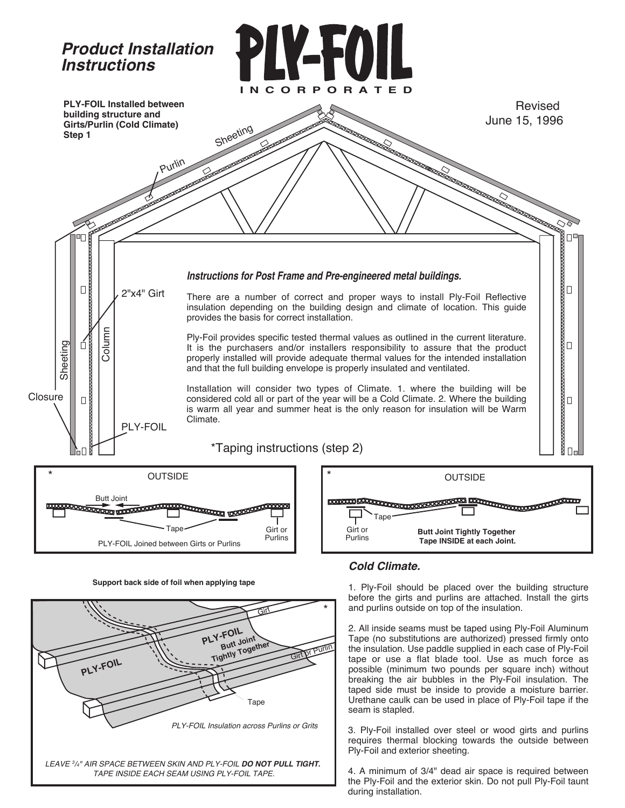

**Support back side of foil when applying tape**



## *Cold Climate.*

1. Ply-Foil should be placed over the building structure before the girts and purlins are attached. Install the girts and purlins outside on top of the insulation.

2. All inside seams must be taped using Ply-Foil Aluminum Tape (no substitutions are authorized) pressed firmly onto the insulation. Use paddle supplied in each case of Ply-Foil tape or use a flat blade tool. Use as much force as possible (minimum two pounds per square inch) without breaking the air bubbles in the Ply-Foil insulation. The taped side must be inside to provide a moisture barrier. Urethane caulk can be used in place of Ply-Foil tape if the seam is stapled.

3. Ply-Foil installed over steel or wood girts and purlins requires thermal blocking towards the outside between Ply-Foil and exterior sheeting.

4. A minimum of 3/4" dead air space is required between the Ply-Foil and the exterior skin. Do not pull Ply-Foil taunt during installation.